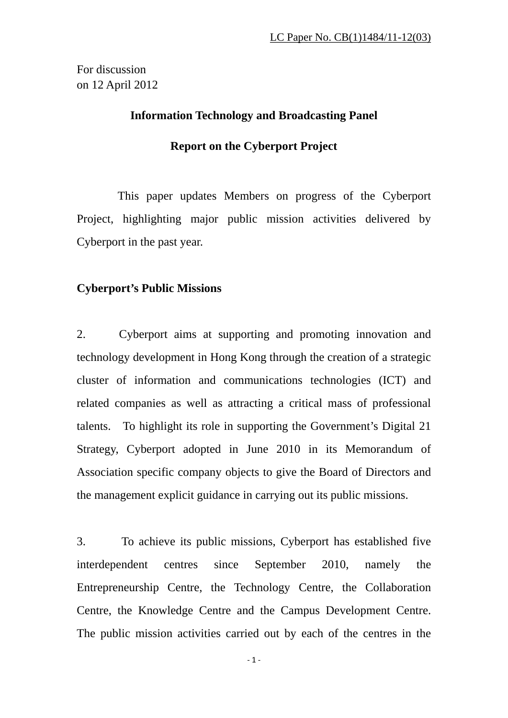For discussion on 12 April 2012

# **Information Technology and Broadcasting Panel**

# **Report on the Cyberport Project**

 This paper updates Members on progress of the Cyberport Project, highlighting major public mission activities delivered by Cyberport in the past year.

# **Cyberport's Public Missions**

2. Cyberport aims at supporting and promoting innovation and technology development in Hong Kong through the creation of a strategic cluster of information and communications technologies (ICT) and related companies as well as attracting a critical mass of professional talents. To highlight its role in supporting the Government's Digital 21 Strategy, Cyberport adopted in June 2010 in its Memorandum of Association specific company objects to give the Board of Directors and the management explicit guidance in carrying out its public missions.

3. To achieve its public missions, Cyberport has established five interdependent centres since September 2010, namely the Entrepreneurship Centre, the Technology Centre, the Collaboration Centre, the Knowledge Centre and the Campus Development Centre. The public mission activities carried out by each of the centres in the

 $-1 -$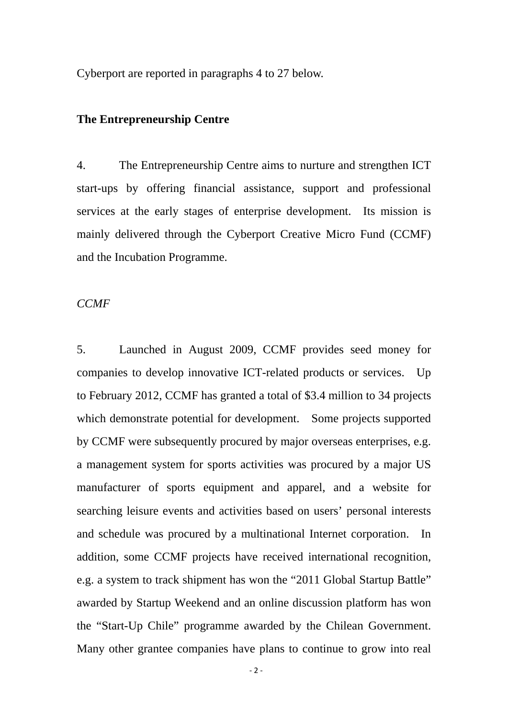Cyberport are reported in paragraphs 4 to 27 below.

# **The Entrepreneurship Centre**

4. The Entrepreneurship Centre aims to nurture and strengthen ICT start-ups by offering financial assistance, support and professional services at the early stages of enterprise development. Its mission is mainly delivered through the Cyberport Creative Micro Fund (CCMF) and the Incubation Programme.

*CCMF* 

5. Launched in August 2009, CCMF provides seed money for companies to develop innovative ICT-related products or services. Up to February 2012, CCMF has granted a total of \$3.4 million to 34 projects which demonstrate potential for development. Some projects supported by CCMF were subsequently procured by major overseas enterprises, e.g. a management system for sports activities was procured by a major US manufacturer of sports equipment and apparel, and a website for searching leisure events and activities based on users' personal interests and schedule was procured by a multinational Internet corporation. In addition, some CCMF projects have received international recognition, e.g. a system to track shipment has won the "2011 Global Startup Battle" awarded by Startup Weekend and an online discussion platform has won the "Start-Up Chile" programme awarded by the Chilean Government. Many other grantee companies have plans to continue to grow into real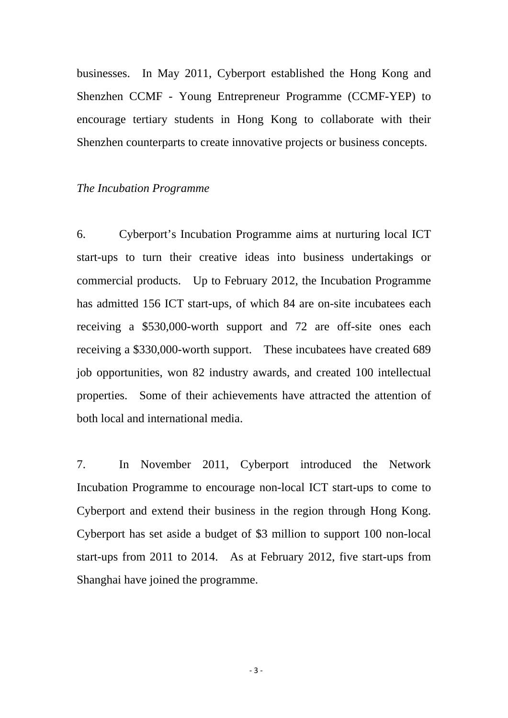businesses. In May 2011, Cyberport established the Hong Kong and Shenzhen CCMF - Young Entrepreneur Programme (CCMF-YEP) to encourage tertiary students in Hong Kong to collaborate with their Shenzhen counterparts to create innovative projects or business concepts.

### *The Incubation Programme*

6. Cyberport's Incubation Programme aims at nurturing local ICT start-ups to turn their creative ideas into business undertakings or commercial products. Up to February 2012, the Incubation Programme has admitted 156 ICT start-ups, of which 84 are on-site incubatees each receiving a \$530,000-worth support and 72 are off-site ones each receiving a \$330,000-worth support. These incubatees have created 689 job opportunities, won 82 industry awards, and created 100 intellectual properties. Some of their achievements have attracted the attention of both local and international media.

7. In November 2011, Cyberport introduced the Network Incubation Programme to encourage non-local ICT start-ups to come to Cyberport and extend their business in the region through Hong Kong. Cyberport has set aside a budget of \$3 million to support 100 non-local start-ups from 2011 to 2014. As at February 2012, five start-ups from Shanghai have joined the programme.

‐ 3 ‐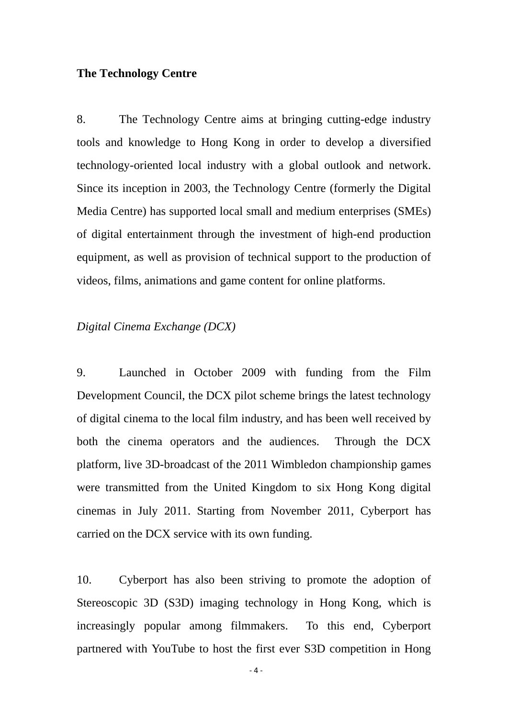# **The Technology Centre**

8. The Technology Centre aims at bringing cutting-edge industry tools and knowledge to Hong Kong in order to develop a diversified technology-oriented local industry with a global outlook and network. Since its inception in 2003, the Technology Centre (formerly the Digital Media Centre) has supported local small and medium enterprises (SMEs) of digital entertainment through the investment of high-end production equipment, as well as provision of technical support to the production of videos, films, animations and game content for online platforms.

## *Digital Cinema Exchange (DCX)*

9. Launched in October 2009 with funding from the Film Development Council, the DCX pilot scheme brings the latest technology of digital cinema to the local film industry, and has been well received by both the cinema operators and the audiences. Through the DCX platform, live 3D-broadcast of the 2011 Wimbledon championship games were transmitted from the United Kingdom to six Hong Kong digital cinemas in July 2011. Starting from November 2011, Cyberport has carried on the DCX service with its own funding.

10. Cyberport has also been striving to promote the adoption of Stereoscopic 3D (S3D) imaging technology in Hong Kong, which is increasingly popular among filmmakers. To this end, Cyberport partnered with YouTube to host the first ever S3D competition in Hong

 $-4-$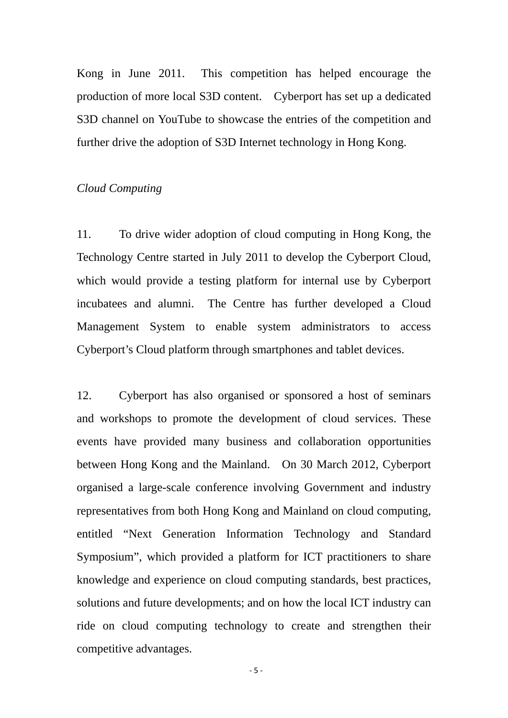Kong in June 2011. This competition has helped encourage the production of more local S3D content. Cyberport has set up a dedicated S3D channel on YouTube to showcase the entries of the competition and further drive the adoption of S3D Internet technology in Hong Kong.

# *Cloud Computing*

11. To drive wider adoption of cloud computing in Hong Kong, the Technology Centre started in July 2011 to develop the Cyberport Cloud, which would provide a testing platform for internal use by Cyberport incubatees and alumni. The Centre has further developed a Cloud Management System to enable system administrators to access Cyberport's Cloud platform through smartphones and tablet devices.

12. Cyberport has also organised or sponsored a host of seminars and workshops to promote the development of cloud services. These events have provided many business and collaboration opportunities between Hong Kong and the Mainland. On 30 March 2012, Cyberport organised a large-scale conference involving Government and industry representatives from both Hong Kong and Mainland on cloud computing, entitled "Next Generation Information Technology and Standard Symposium", which provided a platform for ICT practitioners to share knowledge and experience on cloud computing standards, best practices, solutions and future developments; and on how the local ICT industry can ride on cloud computing technology to create and strengthen their competitive advantages.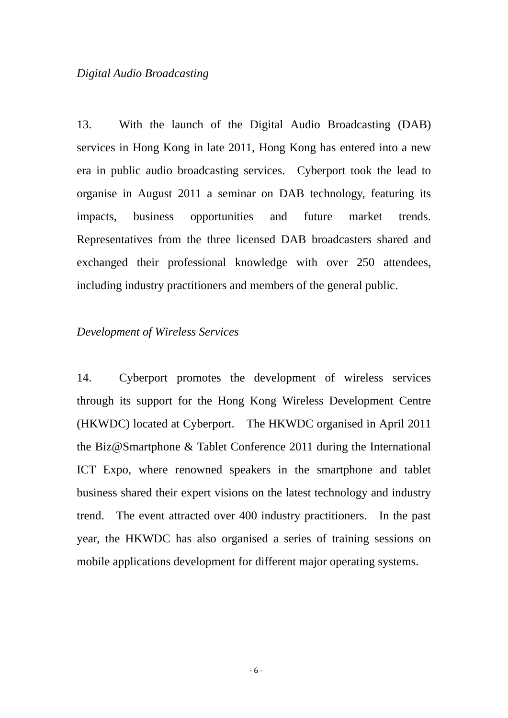## *Digital Audio Broadcasting*

13. With the launch of the Digital Audio Broadcasting (DAB) services in Hong Kong in late 2011, Hong Kong has entered into a new era in public audio broadcasting services. Cyberport took the lead to organise in August 2011 a seminar on DAB technology, featuring its impacts, business opportunities and future market trends. Representatives from the three licensed DAB broadcasters shared and exchanged their professional knowledge with over 250 attendees, including industry practitioners and members of the general public.

# *Development of Wireless Services*

14. Cyberport promotes the development of wireless services through its support for the Hong Kong Wireless Development Centre (HKWDC) located at Cyberport. The HKWDC organised in April 2011 the Biz@Smartphone & Tablet Conference 2011 during the International ICT Expo, where renowned speakers in the smartphone and tablet business shared their expert visions on the latest technology and industry trend. The event attracted over 400 industry practitioners. In the past year, the HKWDC has also organised a series of training sessions on mobile applications development for different major operating systems.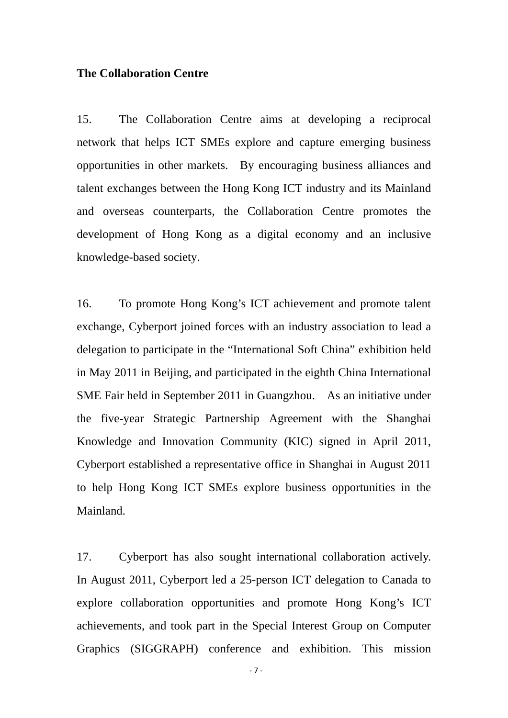## **The Collaboration Centre**

15. The Collaboration Centre aims at developing a reciprocal network that helps ICT SMEs explore and capture emerging business opportunities in other markets. By encouraging business alliances and talent exchanges between the Hong Kong ICT industry and its Mainland and overseas counterparts, the Collaboration Centre promotes the development of Hong Kong as a digital economy and an inclusive knowledge-based society.

16. To promote Hong Kong's ICT achievement and promote talent exchange, Cyberport joined forces with an industry association to lead a delegation to participate in the "International Soft China" exhibition held in May 2011 in Beijing, and participated in the eighth China International SME Fair held in September 2011 in Guangzhou. As an initiative under the five-year Strategic Partnership Agreement with the Shanghai Knowledge and Innovation Community (KIC) signed in April 2011, Cyberport established a representative office in Shanghai in August 2011 to help Hong Kong ICT SMEs explore business opportunities in the Mainland.

17. Cyberport has also sought international collaboration actively. In August 2011, Cyberport led a 25-person ICT delegation to Canada to explore collaboration opportunities and promote Hong Kong's ICT achievements, and took part in the Special Interest Group on Computer Graphics (SIGGRAPH) conference and exhibition. This mission

‐ 7 ‐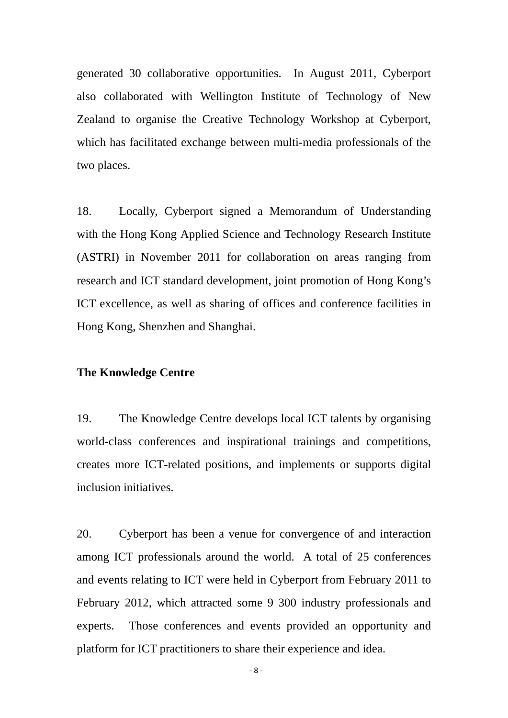generated 30 collaborative opportunities. In August 2011, Cyberport also collaborated with Wellington Institute of Technology of New Zealand to organise the Creative Technology Workshop at Cyberport, which has facilitated exchange between multi-media professionals of the two places.

18. Locally, Cyberport signed a Memorandum of Understanding with the Hong Kong Applied Science and Technology Research Institute (ASTRI) in November 2011 for collaboration on areas ranging from research and ICT standard development, joint promotion of Hong Kong's ICT excellence, as well as sharing of offices and conference facilities in Hong Kong, Shenzhen and Shanghai.

# **The Knowledge Centre**

19. The Knowledge Centre develops local ICT talents by organising world-class conferences and inspirational trainings and competitions, creates more ICT-related positions, and implements or supports digital inclusion initiatives.

20. Cyberport has been a venue for convergence of and interaction among ICT professionals around the world. A total of 25 conferences and events relating to ICT were held in Cyberport from February 2011 to February 2012, which attracted some 9 300 industry professionals and experts. Those conferences and events provided an opportunity and platform for ICT practitioners to share their experience and idea.

‐ 8 ‐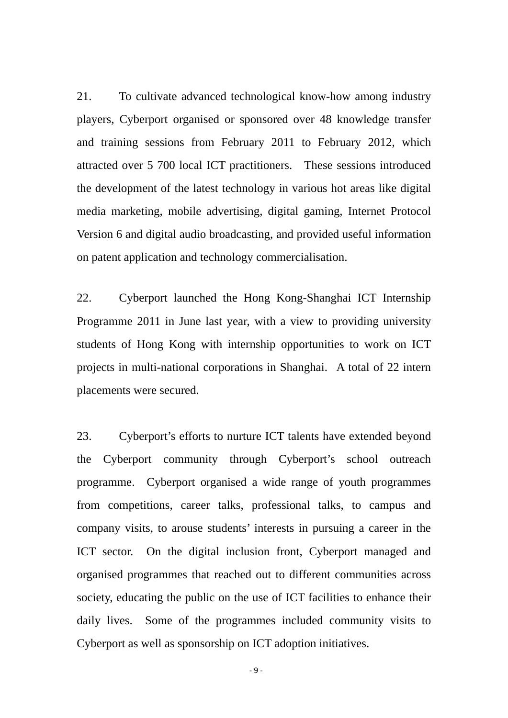21. To cultivate advanced technological know-how among industry players, Cyberport organised or sponsored over 48 knowledge transfer and training sessions from February 2011 to February 2012, which attracted over 5 700 local ICT practitioners. These sessions introduced the development of the latest technology in various hot areas like digital media marketing, mobile advertising, digital gaming, Internet Protocol Version 6 and digital audio broadcasting, and provided useful information on patent application and technology commercialisation.

22. Cyberport launched the Hong Kong-Shanghai ICT Internship Programme 2011 in June last year, with a view to providing university students of Hong Kong with internship opportunities to work on ICT projects in multi-national corporations in Shanghai. A total of 22 intern placements were secured.

23. Cyberport's efforts to nurture ICT talents have extended beyond the Cyberport community through Cyberport's school outreach programme. Cyberport organised a wide range of youth programmes from competitions, career talks, professional talks, to campus and company visits, to arouse students' interests in pursuing a career in the ICT sector. On the digital inclusion front, Cyberport managed and organised programmes that reached out to different communities across society, educating the public on the use of ICT facilities to enhance their daily lives. Some of the programmes included community visits to Cyberport as well as sponsorship on ICT adoption initiatives.

 $-9 -$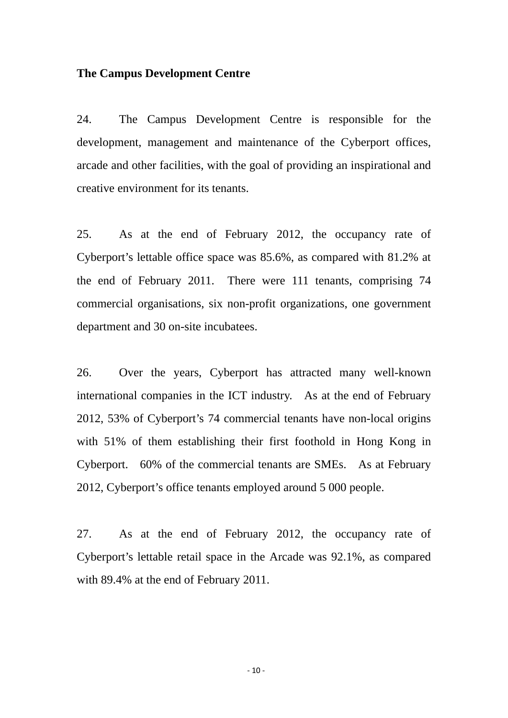## **The Campus Development Centre**

24. The Campus Development Centre is responsible for the development, management and maintenance of the Cyberport offices, arcade and other facilities, with the goal of providing an inspirational and creative environment for its tenants.

25. As at the end of February 2012, the occupancy rate of Cyberport's lettable office space was 85.6%, as compared with 81.2% at the end of February 2011. There were 111 tenants, comprising 74 commercial organisations, six non-profit organizations, one government department and 30 on-site incubatees.

26. Over the years, Cyberport has attracted many well-known international companies in the ICT industry. As at the end of February 2012, 53% of Cyberport's 74 commercial tenants have non-local origins with 51% of them establishing their first foothold in Hong Kong in Cyberport. 60% of the commercial tenants are SMEs. As at February 2012, Cyberport's office tenants employed around 5 000 people.

27. As at the end of February 2012, the occupancy rate of Cyberport's lettable retail space in the Arcade was 92.1%, as compared with 89.4% at the end of February 2011.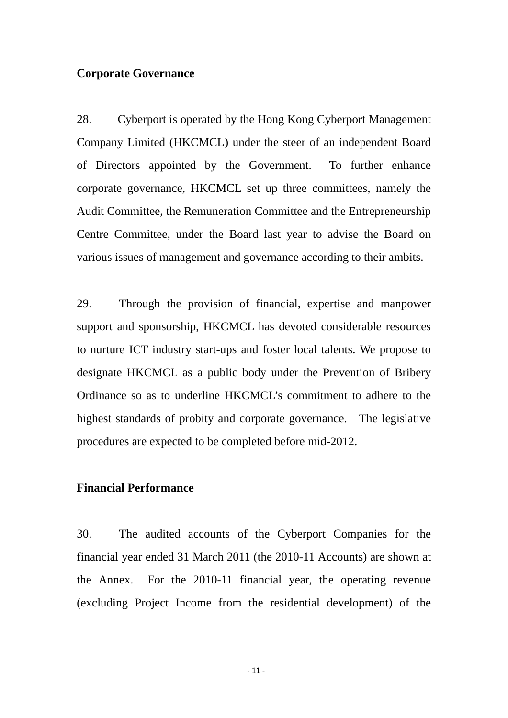### **Corporate Governance**

28. Cyberport is operated by the Hong Kong Cyberport Management Company Limited (HKCMCL) under the steer of an independent Board of Directors appointed by the Government. To further enhance corporate governance, HKCMCL set up three committees, namely the Audit Committee, the Remuneration Committee and the Entrepreneurship Centre Committee, under the Board last year to advise the Board on various issues of management and governance according to their ambits.

29. Through the provision of financial, expertise and manpower support and sponsorship, HKCMCL has devoted considerable resources to nurture ICT industry start-ups and foster local talents. We propose to designate HKCMCL as a public body under the Prevention of Bribery Ordinance so as to underline HKCMCL's commitment to adhere to the highest standards of probity and corporate governance. The legislative procedures are expected to be completed before mid-2012.

## **Financial Performance**

30. The audited accounts of the Cyberport Companies for the financial year ended 31 March 2011 (the 2010-11 Accounts) are shown at the Annex. For the 2010-11 financial year, the operating revenue (excluding Project Income from the residential development) of the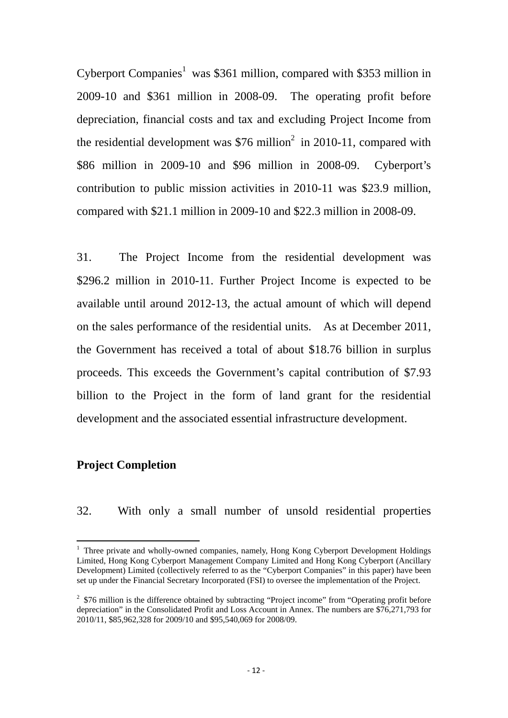Cyberport Companies<sup>1</sup> was \$361 million, compared with \$353 million in 2009-10 and \$361 million in 2008-09. The operating profit before depreciation, financial costs and tax and excluding Project Income from the residential development was  $$76$  million<sup>2</sup> in 2010-11, compared with \$86 million in 2009-10 and \$96 million in 2008-09. Cyberport's contribution to public mission activities in 2010-11 was \$23.9 million, compared with \$21.1 million in 2009-10 and \$22.3 million in 2008-09.

31. The Project Income from the residential development was \$296.2 million in 2010-11. Further Project Income is expected to be available until around 2012-13, the actual amount of which will depend on the sales performance of the residential units. As at December 2011, the Government has received a total of about \$18.76 billion in surplus proceeds. This exceeds the Government's capital contribution of \$7.93 billion to the Project in the form of land grant for the residential development and the associated essential infrastructure development.

# **Project Completion**

32. With only a small number of unsold residential properties

<sup>&</sup>lt;sup>1</sup> Three private and wholly-owned companies, namely, Hong Kong Cyberport Development Holdings Limited, Hong Kong Cyberport Management Company Limited and Hong Kong Cyberport (Ancillary Development) Limited (collectively referred to as the "Cyberport Companies" in this paper) have been set up under the Financial Secretary Incorporated (FSI) to oversee the implementation of the Project.

 $2 \text{ }\$76 \text{ million is the difference obtained by subtracting "Project income" from "Operating profit before" }$ depreciation" in the Consolidated Profit and Loss Account in Annex. The numbers are \$76,271,793 for 2010/11, \$85,962,328 for 2009/10 and \$95,540,069 for 2008/09.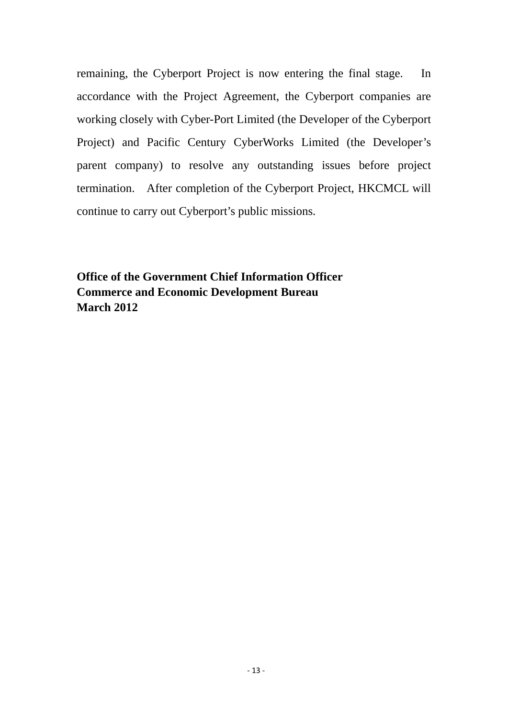remaining, the Cyberport Project is now entering the final stage. In accordance with the Project Agreement, the Cyberport companies are working closely with Cyber-Port Limited (the Developer of the Cyberport Project) and Pacific Century CyberWorks Limited (the Developer's parent company) to resolve any outstanding issues before project termination. After completion of the Cyberport Project, HKCMCL will continue to carry out Cyberport's public missions.

**Office of the Government Chief Information Officer Commerce and Economic Development Bureau March 2012**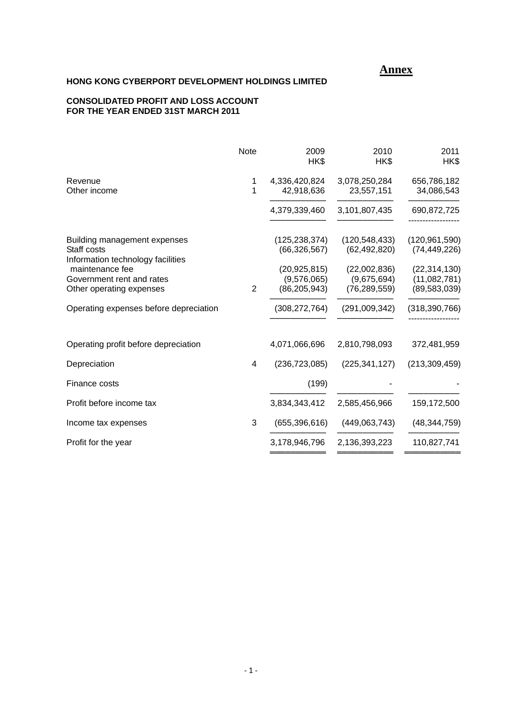## *Annex Annex*

### **HONG KONG CYBERPORT DEVELOPMENT HOLDINGS LIMITED**

#### **CONSOLIDATED PROFIT AND LOSS ACCOUNT FOR THE YEAR ENDED 31ST MARCH 2011**

|                                                                                                                                                              | <b>Note</b>    | 2009<br>HK\$                                                                         | 2010<br>HK\$                                                                       | 2011<br>HK\$                                                                          |
|--------------------------------------------------------------------------------------------------------------------------------------------------------------|----------------|--------------------------------------------------------------------------------------|------------------------------------------------------------------------------------|---------------------------------------------------------------------------------------|
| Revenue<br>Other income                                                                                                                                      | 1<br>1         | 4,336,420,824<br>42,918,636                                                          | 3,078,250,284<br>23,557,151                                                        | 656,786,182<br>34,086,543                                                             |
|                                                                                                                                                              |                | 4,379,339,460                                                                        | 3,101,807,435                                                                      | 690,872,725                                                                           |
| Building management expenses<br>Staff costs<br>Information technology facilities<br>maintenance fee<br>Government rent and rates<br>Other operating expenses | $\overline{2}$ | (125, 238, 374)<br>(66, 326, 567)<br>(20, 925, 815)<br>(9,576,065)<br>(86, 205, 943) | (120, 548, 433)<br>(62, 492, 820)<br>(22,002,836)<br>(9,675,694)<br>(76, 289, 559) | (120, 961, 590)<br>(74, 449, 226)<br>(22, 314, 130)<br>(11,082,781)<br>(89, 583, 039) |
| Operating expenses before depreciation                                                                                                                       |                | (308, 272, 764)                                                                      | (291,009,342)                                                                      | (318, 390, 766)                                                                       |
| Operating profit before depreciation                                                                                                                         |                | 4,071,066,696                                                                        | 2,810,798,093                                                                      | 372,481,959                                                                           |
| Depreciation                                                                                                                                                 | 4              | (236, 723, 085)                                                                      | (225, 341, 127)                                                                    | (213, 309, 459)                                                                       |
| Finance costs                                                                                                                                                |                | (199)                                                                                |                                                                                    |                                                                                       |
| Profit before income tax                                                                                                                                     |                | 3,834,343,412                                                                        | 2,585,456,966                                                                      | 159,172,500                                                                           |
| Income tax expenses                                                                                                                                          | 3              | (655, 396, 616)                                                                      | (449,063,743)                                                                      | (48, 344, 759)                                                                        |
| Profit for the year                                                                                                                                          |                | 3,178,946,796                                                                        | 2,136,393,223                                                                      | 110,827,741                                                                           |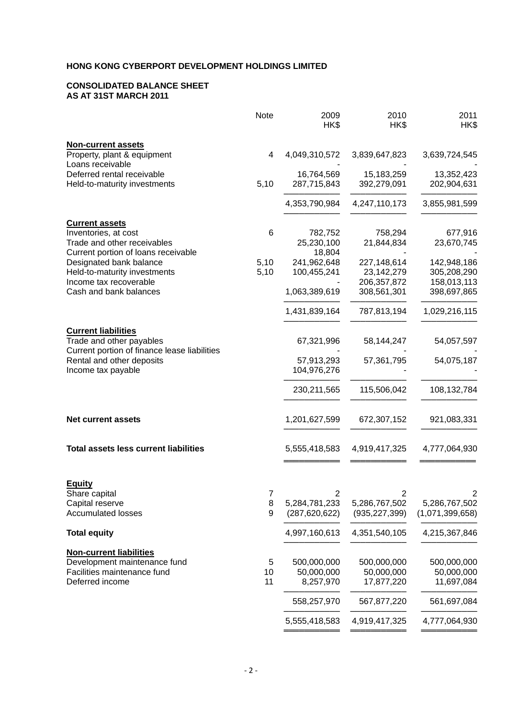#### **CONSOLIDATED BALANCE SHEET AS AT 31ST MARCH 2011**

|                                                                                                        | <b>Note</b>  | 2009<br>HK\$               | 2010<br>HK\$              | 2011<br>HK\$               |
|--------------------------------------------------------------------------------------------------------|--------------|----------------------------|---------------------------|----------------------------|
| <b>Non-current assets</b><br>Property, plant & equipment<br>Loans receivable                           | 4            | 4,049,310,572              | 3,839,647,823             | 3,639,724,545              |
| Deferred rental receivable                                                                             |              | 16,764,569                 | 15,183,259                | 13,352,423                 |
| Held-to-maturity investments                                                                           | 5,10         | 287,715,843                | 392,279,091               | 202,904,631                |
|                                                                                                        |              | 4,353,790,984              | 4,247,110,173             | 3,855,981,599              |
| <b>Current assets</b><br>Inventories, at cost                                                          | 6            | 782,752                    | 758,294                   | 677,916                    |
| Trade and other receivables                                                                            |              | 25,230,100                 | 21,844,834                | 23,670,745                 |
| Current portion of loans receivable                                                                    |              | 18,804                     |                           |                            |
| Designated bank balance<br>Held-to-maturity investments                                                | 5,10<br>5,10 | 241,962,648<br>100,455,241 | 227,148,614<br>23,142,279 | 142,948,186<br>305,208,290 |
| Income tax recoverable                                                                                 |              |                            | 206, 357, 872             | 158,013,113                |
| Cash and bank balances                                                                                 |              | 1,063,389,619              | 308,561,301               | 398,697,865                |
|                                                                                                        |              | 1,431,839,164              | 787,813,194               | 1,029,216,115              |
| <b>Current liabilities</b><br>Trade and other payables<br>Current portion of finance lease liabilities |              | 67,321,996                 | 58,144,247                | 54,057,597                 |
| Rental and other deposits<br>Income tax payable                                                        |              | 57,913,293<br>104,976,276  | 57,361,795                | 54,075,187                 |
|                                                                                                        |              | 230, 211, 565              | 115,506,042               | 108,132,784                |
| <b>Net current assets</b>                                                                              |              | 1,201,627,599              | 672,307,152               | 921,083,331                |
| <b>Total assets less current liabilities</b>                                                           |              | 5,555,418,583              | 4,919,417,325             | 4,777,064,930              |
| <b>Equity</b>                                                                                          | 7            | 2                          |                           |                            |
| Share capital<br>Capital reserve                                                                       | 8            | 5,284,781,233              | 5,286,767,502             | 5,286,767,502              |
| <b>Accumulated losses</b>                                                                              | 9            | (287, 620, 622)            | (935, 227, 399)           | (1,071,399,658)            |
| <b>Total equity</b>                                                                                    |              | 4,997,160,613              | 4,351,540,105             | 4,215,367,846              |
| <b>Non-current liabilities</b>                                                                         |              |                            |                           |                            |
| Development maintenance fund<br>Facilities maintenance fund                                            | 5<br>10      | 500,000,000<br>50,000,000  | 500,000,000<br>50,000,000 | 500,000,000<br>50,000,000  |
| Deferred income                                                                                        | 11           | 8,257,970                  | 17,877,220                | 11,697,084                 |
|                                                                                                        |              | 558,257,970                | 567,877,220               | 561,697,084                |
|                                                                                                        |              | 5,555,418,583              | 4,919,417,325             | 4,777,064,930              |
|                                                                                                        |              |                            |                           |                            |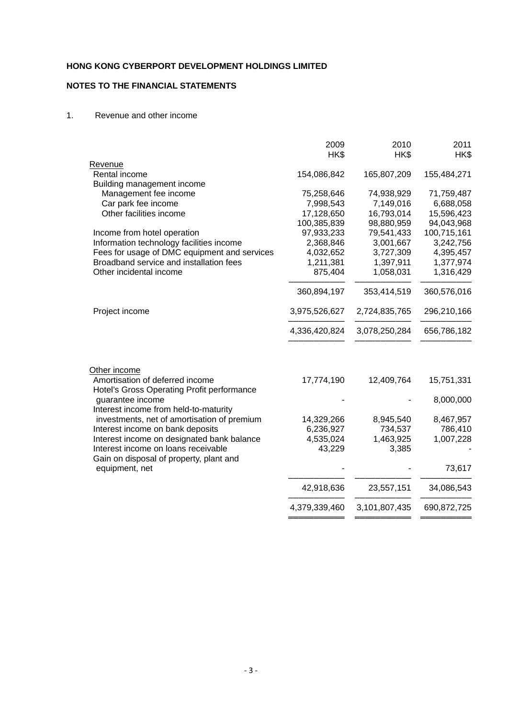# **NOTES TO THE FINANCIAL STATEMENTS**

#### 1. Revenue and other income

|                                                                                | 2009          | 2010          | 2011        |
|--------------------------------------------------------------------------------|---------------|---------------|-------------|
|                                                                                | HK\$          | HK\$          | HK\$        |
| <b>Revenue</b>                                                                 |               |               |             |
| Rental income                                                                  | 154,086,842   | 165,807,209   | 155,484,271 |
| Building management income                                                     |               |               |             |
| Management fee income                                                          | 75,258,646    | 74,938,929    | 71,759,487  |
| Car park fee income                                                            | 7,998,543     | 7,149,016     | 6,688,058   |
| Other facilities income                                                        | 17,128,650    | 16,793,014    | 15,596,423  |
|                                                                                | 100,385,839   | 98,880,959    | 94,043,968  |
| Income from hotel operation                                                    | 97,933,233    | 79,541,433    | 100,715,161 |
| Information technology facilities income                                       | 2,368,846     | 3,001,667     | 3,242,756   |
| Fees for usage of DMC equipment and services                                   | 4,032,652     | 3,727,309     | 4,395,457   |
| Broadband service and installation fees                                        | 1,211,381     | 1,397,911     | 1,377,974   |
| Other incidental income                                                        | 875,404       | 1,058,031     | 1,316,429   |
|                                                                                | 360,894,197   | 353,414,519   | 360,576,016 |
| Project income                                                                 | 3,975,526,627 | 2,724,835,765 | 296,210,166 |
|                                                                                | 4,336,420,824 | 3,078,250,284 | 656,786,182 |
| Other income                                                                   |               |               |             |
| Amortisation of deferred income<br>Hotel's Gross Operating Profit performance  | 17,774,190    | 12,409,764    | 15,751,331  |
| guarantee income                                                               |               |               | 8,000,000   |
| Interest income from held-to-maturity                                          |               |               |             |
| investments, net of amortisation of premium                                    | 14,329,266    | 8,945,540     | 8,467,957   |
| Interest income on bank deposits                                               | 6,236,927     | 734,537       | 786,410     |
| Interest income on designated bank balance                                     | 4,535,024     | 1,463,925     | 1,007,228   |
| Interest income on loans receivable<br>Gain on disposal of property, plant and | 43,229        | 3,385         |             |
| equipment, net                                                                 |               |               | 73,617      |
|                                                                                | 42,918,636    | 23,557,151    | 34,086,543  |
|                                                                                | 4,379,339,460 | 3,101,807,435 | 690,872,725 |
|                                                                                |               |               |             |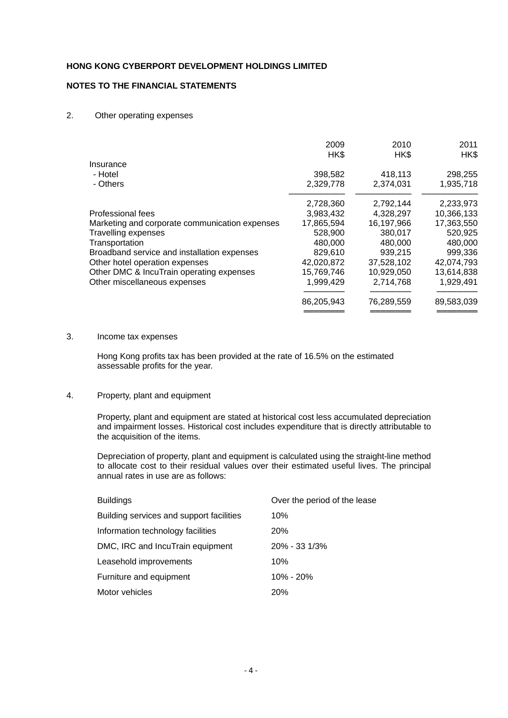### **NOTES TO THE FINANCIAL STATEMENTS**

#### 2. Other operating expenses

|                                                | 2009<br>HK\$ | 2010<br>HK\$ | 2011<br>HK\$ |
|------------------------------------------------|--------------|--------------|--------------|
| Insurance                                      |              |              |              |
| - Hotel                                        | 398,582      | 418,113      | 298,255      |
| - Others                                       | 2,329,778    | 2,374,031    | 1,935,718    |
|                                                | 2,728,360    | 2,792,144    | 2,233,973    |
| Professional fees                              | 3,983,432    | 4,328,297    | 10,366,133   |
| Marketing and corporate communication expenses | 17,865,594   | 16,197,966   | 17,363,550   |
| <b>Travelling expenses</b>                     | 528,900      | 380,017      | 520,925      |
| Transportation                                 | 480.000      | 480,000      | 480,000      |
| Broadband service and installation expenses    | 829,610      | 939,215      | 999,336      |
| Other hotel operation expenses                 | 42,020,872   | 37,528,102   | 42,074,793   |
| Other DMC & IncuTrain operating expenses       | 15,769,746   | 10,929,050   | 13,614,838   |
| Other miscellaneous expenses                   | 1,999,429    | 2,714,768    | 1,929,491    |
|                                                | 86,205,943   | 76,289,559   | 89,583,039   |
|                                                |              |              |              |

#### 3. Income tax expenses

Hong Kong profits tax has been provided at the rate of 16.5% on the estimated assessable profits for the year.

#### 4. Property, plant and equipment

Property, plant and equipment are stated at historical cost less accumulated depreciation and impairment losses. Historical cost includes expenditure that is directly attributable to the acquisition of the items.

 Depreciation of property, plant and equipment is calculated using the straight-line method to allocate cost to their residual values over their estimated useful lives. The principal annual rates in use are as follows:

| <b>Buildings</b>                         | Over the period of the lease |
|------------------------------------------|------------------------------|
| Building services and support facilities | 10%                          |
| Information technology facilities        | 20%                          |
| DMC, IRC and IncuTrain equipment         | 20% - 33 1/3%                |
| Leasehold improvements                   | 10%                          |
| Furniture and equipment                  | $10\% - 20\%$                |
| Motor vehicles                           | <b>20%</b>                   |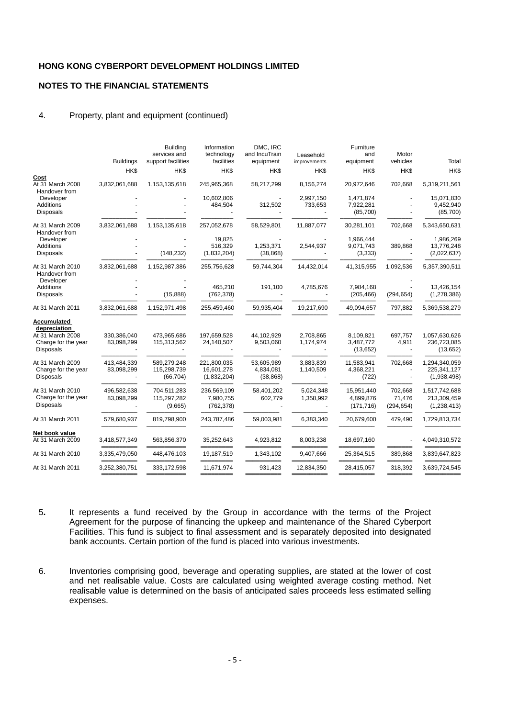#### **NOTES TO THE FINANCIAL STATEMENTS**

#### 4. Property, plant and equipment (continued)

| <b>Buildings</b>          | <b>Building</b><br>services and<br>support facilities | Information<br>technology<br>facilities  | DMC, IRC<br>and IncuTrain<br>equipment | Leasehold<br>improvements | Furniture<br>and<br>equipment         | Motor<br>vehicles                            | Total                                         |
|---------------------------|-------------------------------------------------------|------------------------------------------|----------------------------------------|---------------------------|---------------------------------------|----------------------------------------------|-----------------------------------------------|
| HK\$                      | HK\$                                                  | HK\$                                     | HK\$                                   | HK\$                      | HK\$                                  | HK\$                                         | HK\$                                          |
| 3,832,061,688             | 1,153,135,618                                         | 245,965,368                              | 58,217,299                             | 8,156,274                 | 20,972,646                            | 702,668                                      | 5,319,211,561                                 |
|                           |                                                       | 10,602,806<br>484,504                    | 312,502                                | 2,997,150<br>733,653      | 1,471,874<br>7,922,281<br>(85,700)    |                                              | 15,071,830<br>9,452,940<br>(85,700)           |
| 3,832,061,688             | 1,153,135,618                                         | 257,052,678                              | 58,529,801                             | 11,887,077                | 30,281,101                            | 702,668                                      | 5,343,650,631                                 |
|                           | (148, 232)                                            | 19.825<br>516,329<br>(1,832,204)         | 1,253,371<br>(38, 868)                 | 2,544,937                 | 1,966,444<br>9,071,743<br>(3,333)     | 389,868                                      | 1,986,269<br>13,776,248<br>(2,022,637)        |
| 3,832,061,688             | 1,152,987,386                                         | 255,756,628                              | 59,744,304                             | 14,432,014                | 41,315,955                            | 1,092,536                                    | 5,357,390,511                                 |
|                           | (15, 888)                                             | 465,210<br>(762, 378)                    | 191,100                                | 4,785,676                 | 7,984,168<br>(205, 466)               | (294, 654)                                   | 13,426,154<br>(1, 278, 386)                   |
| 3,832,061,688             | 1,152,971,498                                         | 255,459,460                              | 59,935,404                             | 19,217,690                | 49,094,657                            | 797,882                                      | 5,369,538,279                                 |
|                           |                                                       |                                          |                                        |                           |                                       |                                              |                                               |
| 330.386.040<br>83,098,299 | 473,965,686<br>115,313,562                            | 197,659,528<br>24,140,507                | 44,102,929<br>9,503,060                | 2,708,865<br>1,174,974    | 8,109,821<br>3,487,772<br>(13, 652)   | 697,757<br>4,911<br>$\overline{\phantom{a}}$ | 1,057,630,626<br>236,723,085<br>(13, 652)     |
| 413,484,339<br>83,098,299 | 589,279,248<br>115,298,739<br>(66, 704)               | 221,800,035<br>16,601,278<br>(1,832,204) | 53,605,989<br>4,834,081<br>(38, 868)   | 3,883,839<br>1,140,509    | 11,583,941<br>4,368,221<br>(722)      | 702,668                                      | 1,294,340,059<br>225,341,127<br>(1,938,498)   |
| 496,582,638<br>83,098,299 | 704,511,283<br>115,297,282<br>(9,665)                 | 236,569,109<br>7,980,755<br>(762, 378)   | 58,401,202<br>602,779                  | 5,024,348<br>1,358,992    | 15,951,440<br>4,899,876<br>(171, 716) | 702,668<br>71,476<br>(294, 654)              | 1,517,742,688<br>213,309,459<br>(1, 238, 413) |
| 579,680,937               | 819,798,900                                           | 243,787,486                              | 59,003,981                             | 6,383,340                 | 20,679,600                            | 479,490                                      | 1,729,813,734                                 |
|                           |                                                       |                                          |                                        |                           |                                       |                                              |                                               |
|                           |                                                       |                                          |                                        |                           |                                       |                                              | 4,049,310,572                                 |
| 3,335,479,050             | 448,476,103                                           | 19,187,519                               | 1,343,102                              | 9,407,666                 | 25,364,515                            | 389,868                                      | 3,839,647,823                                 |
| 3,252,380,751             | 333,172,598                                           | 11,671,974                               | 931,423                                | 12,834,350                | 28,415,057                            | 318,392                                      | 3,639,724,545                                 |
|                           | 3,418,577,349                                         | 563,856,370                              | 35,252,643                             | 4,923,812                 | 8,003,238                             | 18,697,160                                   |                                               |

- 5**.** It represents a fund received by the Group in accordance with the terms of the Project Agreement for the purpose of financing the upkeep and maintenance of the Shared Cyberport Facilities. This fund is subject to final assessment and is separately deposited into designated bank accounts. Certain portion of the fund is placed into various investments.
- 6. Inventories comprising good, beverage and operating supplies, are stated at the lower of cost and net realisable value. Costs are calculated using weighted average costing method. Net realisable value is determined on the basis of anticipated sales proceeds less estimated selling expenses.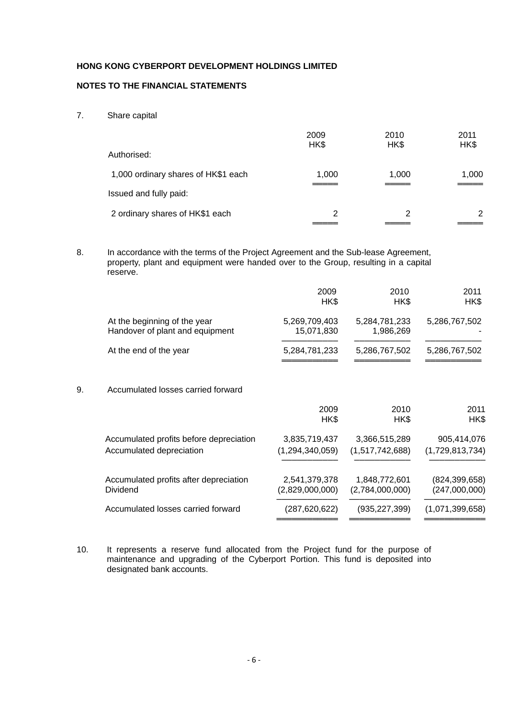### **NOTES TO THE FINANCIAL STATEMENTS**

7. Share capital

|                                     | 2009<br>HK\$ | 2010<br>HK\$ | 2011<br>HK\$ |
|-------------------------------------|--------------|--------------|--------------|
| Authorised:                         |              |              |              |
| 1,000 ordinary shares of HK\$1 each | 1,000        | 1,000        | 1,000        |
| Issued and fully paid:              |              |              |              |
| 2 ordinary shares of HK\$1 each     | 2            | 2            | 2            |
|                                     |              |              |              |

8. In accordance with the terms of the Project Agreement and the Sub-lease Agreement, property, plant and equipment were handed over to the Group, resulting in a capital reserve.

|    |                                                                     | 2009<br>HK\$                        | 2010<br>HK\$                     | 2011<br>HK\$                     |
|----|---------------------------------------------------------------------|-------------------------------------|----------------------------------|----------------------------------|
|    | At the beginning of the year<br>Handover of plant and equipment     | 5,269,709,403<br>15,071,830         | 5,284,781,233<br>1,986,269       | 5,286,767,502                    |
|    | At the end of the year                                              | 5,284,781,233                       | 5,286,767,502                    | 5,286,767,502                    |
| 9. | Accumulated losses carried forward                                  |                                     |                                  |                                  |
|    |                                                                     | 2009<br>HK\$                        | 2010<br>HK\$                     | 2011<br>HK\$                     |
|    | Accumulated profits before depreciation<br>Accumulated depreciation | 3,835,719,437<br>(1, 294, 340, 059) | 3,366,515,289<br>(1,517,742,688) | 905,414,076<br>(1,729,813,734)   |
|    | Accumulated profits after depreciation<br>Dividend                  | 2,541,379,378<br>(2,829,000,000)    | 1,848,772,601<br>(2,784,000,000) | (824, 399, 658)<br>(247,000,000) |
|    | Accumulated losses carried forward                                  | (287,620,622)                       | (935,227,399)                    | (1,071,399,658)                  |

10. It represents a reserve fund allocated from the Project fund for the purpose of maintenance and upgrading of the Cyberport Portion. This fund is deposited into designated bank accounts.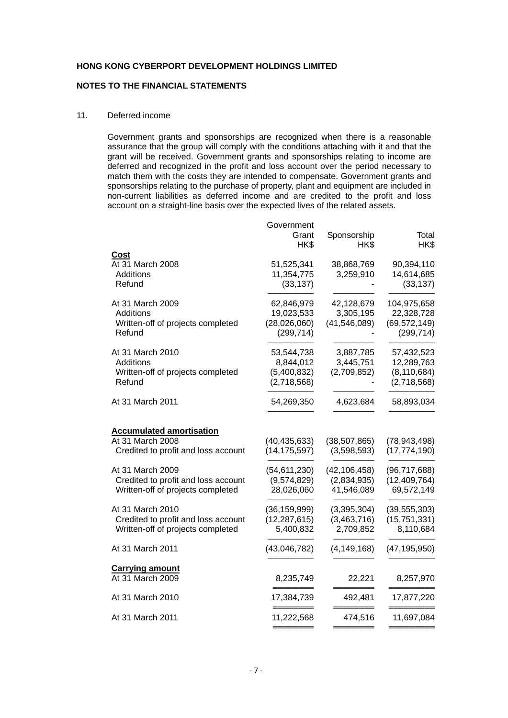### **NOTES TO THE FINANCIAL STATEMENTS**

#### 11. Deferred income

Government grants and sponsorships are recognized when there is a reasonable assurance that the group will comply with the conditions attaching with it and that the grant will be received. Government grants and sponsorships relating to income are deferred and recognized in the profit and loss account over the period necessary to match them with the costs they are intended to compensate. Government grants and sponsorships relating to the purchase of property, plant and equipment are included in non-current liabilities as deferred income and are credited to the profit and loss account on a straight-line basis over the expected lives of the related assets.

|                                     | Government<br>Grant<br>HK\$ | Sponsorship<br>HK\$ | Total<br>HK\$  |
|-------------------------------------|-----------------------------|---------------------|----------------|
| Cost                                |                             |                     |                |
| At 31 March 2008                    | 51,525,341                  | 38,868,769          | 90,394,110     |
| Additions                           | 11,354,775                  | 3,259,910           | 14,614,685     |
| Refund                              | (33, 137)                   |                     | (33, 137)      |
| At 31 March 2009                    | 62,846,979                  | 42,128,679          | 104,975,658    |
| Additions                           | 19,023,533                  | 3,305,195           | 22,328,728     |
| Written-off of projects completed   | (28,026,060)                | (41, 546, 089)      | (69, 572, 149) |
| Refund                              | (299, 714)                  |                     | (299, 714)     |
| At 31 March 2010                    | 53,544,738                  | 3,887,785           | 57,432,523     |
| Additions                           | 8,844,012                   | 3,445,751           | 12,289,763     |
| Written-off of projects completed   | (5,400,832)                 | (2,709,852)         | (8, 110, 684)  |
| Refund                              | (2,718,568)                 |                     | (2,718,568)    |
| At 31 March 2011                    | 54,269,350                  | 4,623,684           | 58,893,034     |
|                                     |                             |                     |                |
| <b>Accumulated amortisation</b>     |                             |                     |                |
| At 31 March 2008                    | (40, 435, 633)              | (38, 507, 865)      | (78, 943, 498) |
| Credited to profit and loss account | (14, 175, 597)              | (3,598,593)         | (17, 774, 190) |
| At 31 March 2009                    | (54, 611, 230)              | (42, 106, 458)      | (96, 717, 688) |
| Credited to profit and loss account | (9,574,829)                 | (2,834,935)         | (12, 409, 764) |
| Written-off of projects completed   | 28,026,060                  | 41,546,089          | 69,572,149     |
| At 31 March 2010                    | (36, 159, 999)              | (3,395,304)         | (39, 555, 303) |
| Credited to profit and loss account | (12, 287, 615)              | (3,463,716)         | (15, 751, 331) |
| Written-off of projects completed   | 5,400,832                   | 2,709,852           | 8,110,684      |
| At 31 March 2011                    | (43,046,782)                | (4, 149, 168)       | (47, 195, 950) |
| <b>Carrying amount</b>              |                             |                     |                |
| At 31 March 2009                    | 8,235,749                   | 22,221              | 8,257,970      |
| At 31 March 2010                    | 17,384,739                  | 492,481             | 17,877,220     |
| At 31 March 2011                    | 11,222,568                  | 474,516             | 11,697,084     |
|                                     |                             |                     |                |